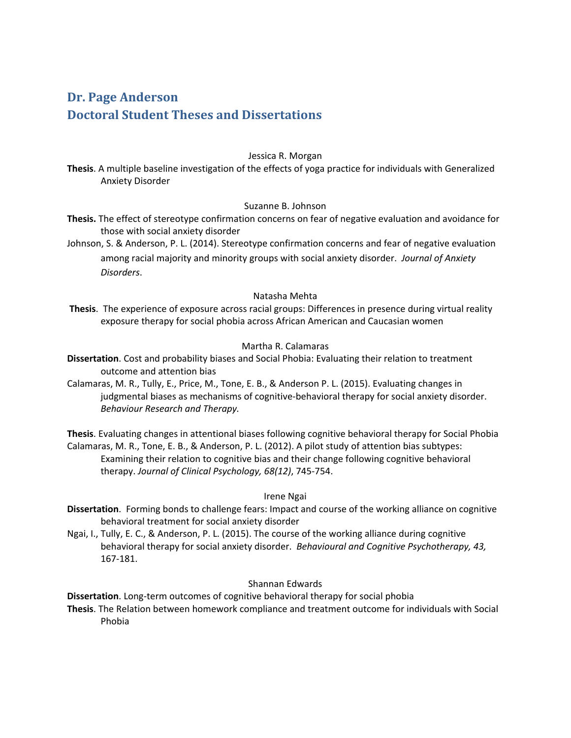# **Dr. Page Anderson Doctoral Student Theses and Dissertations**

# Jessica R. Morgan

**Thesis**. A multiple baseline investigation of the effects of yoga practice for individuals with Generalized Anxiety Disorder

## Suzanne B. Johnson

- **Thesis.** The effect of stereotype confirmation concerns on fear of negative evaluation and avoidance for those with social anxiety disorder
- Johnson, S. & Anderson, P. L. (2014). Stereotype confirmation concerns and fear of negative evaluation among racial majority and minority groups with social anxiety disorder. *Journal of Anxiety Disorders*.

#### Natasha Mehta

**Thesis**. The experience of exposure across racial groups: Differences in presence during virtual reality exposure therapy for social phobia across African American and Caucasian women

## Martha R. Calamaras

- **Dissertation**. Cost and probability biases and Social Phobia: Evaluating their relation to treatment outcome and attention bias
- Calamaras, M. R., Tully, E., Price, M., Tone, E. B., & Anderson P. L. (2015). Evaluating changes in judgmental biases as mechanisms of cognitive-behavioral therapy for social anxiety disorder. *Behaviour Research and Therapy.*

**Thesis**. Evaluating changes in attentional biases following cognitive behavioral therapy for Social Phobia Calamaras, M. R., Tone, E. B., & Anderson, P. L. (2012). A pilot study of attention bias subtypes: Examining their relation to cognitive bias and their change following cognitive behavioral therapy. *Journal of Clinical Psychology, 68(12)*, 745‐754.

## Irene Ngai

- **Dissertation**. Forming bonds to challenge fears: Impact and course of the working alliance on cognitive behavioral treatment for social anxiety disorder
- Ngai, I., Tully, E. C., & Anderson, P. L. (2015). The course of the working alliance during cognitive behavioral therapy for social anxiety disorder. *Behavioural and Cognitive Psychotherapy, 43,* 167‐181.

# Shannan Edwards

**Dissertation**. Long‐term outcomes of cognitive behavioral therapy for social phobia

**Thesis**. The Relation between homework compliance and treatment outcome for individuals with Social Phobia